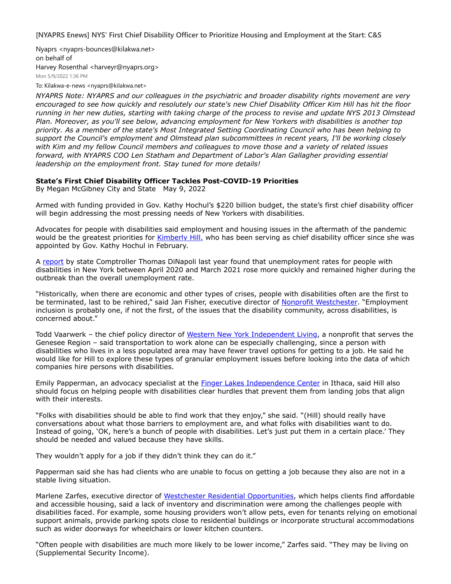**[NYAPRS Enews] NYS' First Chief Disability Officer to Prioritize Housing and Employment at the Start: C&S**

Nyaprs <nyaprs-bounces@kilakwa.net> on behalf of Harvey Rosenthal <harveyr@nyaprs.org> Mon 5/9/2022 1:36 PM

To: Kilakwa-e-news <nyaprs@kilakwa.net>

*NYAPRS Note: NYAPRS and our colleagues in the psychiatric and broader disability rights movement are very encouraged to see how quickly and resolutely our state's new Chief Disability Officer Kim Hill has hit the floor running in her new duties, starting with taking charge of the process to revise and update NYS 2013 Olmstead Plan. Moreover, as you'll see below, advancing employment for New Yorkers with disabilities is another top priority. As a member of the state's Most Integrated Setting Coordinating Council who has been helping to support the Council's employment and Olmstead plan subcommittees in recent years, I'll be working closely with Kim and my fellow Council members and colleagues to move those and a variety of related issues forward, with NYAPRS COO Len Statham and Department of Labor's Alan Gallagher providing essential leadership on the employment front. Stay tuned for more details!*

## **State's First Chief Disability Officer Tackles Post-COVID-19 Priorities**

By Megan McGibney City and State May 9, 2022

Armed with funding provided in Gov. Kathy Hochul's \$220 billion budget, the state's first chief disability officer will begin addressing the most pressing needs of New Yorkers with disabilities.

Advocates for people with disabilities said employment and housing issues in the aftermath of the pandemic would be the greatest priorities for [Kimberly Hill,](https://nam02.safelinks.protection.outlook.com/?url=https%3A%2F%2Fwww.cityandstateny.com%2Fpolitics%2F2022%2F02%2Ffive-things-know-about-kimberly-hill%2F362047%2F&data=05%7C01%7Crmc277%40shp.rutgers.edu%7C57fe08bb2d2d4ea29f2308da31e26abd%7Cb92d2b234d35447093ff69aca6632ffe%7C1%7C0%7C637877145775872397%7CUnknown%7CTWFpbGZsb3d8eyJWIjoiMC4wLjAwMDAiLCJQIjoiV2luMzIiLCJBTiI6Ik1haWwiLCJXVCI6Mn0%3D%7C1000%7C%7C%7C&sdata=1qeOVDCxRIDkwGtwcNeN06JDKj%2F8lG72v8cXJI%2FqbB8%3D&reserved=0) who has been serving as chief disability officer since she was appointed by Gov. Kathy Hochul in February.

A [report](https://nam02.safelinks.protection.outlook.com/?url=https%3A%2F%2Fwww.osc.state.ny.us%2Fpress%2Freleases%2F2021%2F07%2Fdinapoli-audit-finds-state-falling-short-helping-people-disabilities-find-work%23%3A~%3Atext%3DBetween%2520April%25202020%2520and%2520March%2Cand%2520March%25202021%2520was%252011.3%2525.&data=05%7C01%7Crmc277%40shp.rutgers.edu%7C57fe08bb2d2d4ea29f2308da31e26abd%7Cb92d2b234d35447093ff69aca6632ffe%7C1%7C0%7C637877145775872397%7CUnknown%7CTWFpbGZsb3d8eyJWIjoiMC4wLjAwMDAiLCJQIjoiV2luMzIiLCJBTiI6Ik1haWwiLCJXVCI6Mn0%3D%7C1000%7C%7C%7C&sdata=BtfMxM31TivApze%2BOH0m4UxeV%2BAVxbZdLEHNckz2LLc%3D&reserved=0) by state Comptroller Thomas DiNapoli last year found that unemployment rates for people with disabilities in New York between April 2020 and March 2021 rose more quickly and remained higher during the outbreak than the overall unemployment rate.

"Historically, when there are economic and other types of crises, people with disabilities often are the first to be terminated, last to be rehired," said Jan Fisher, executive director of [Nonprofit Westchester](https://nam02.safelinks.protection.outlook.com/?url=https%3A%2F%2Fnpwestchester.org%2F&data=05%7C01%7Crmc277%40shp.rutgers.edu%7C57fe08bb2d2d4ea29f2308da31e26abd%7Cb92d2b234d35447093ff69aca6632ffe%7C1%7C0%7C637877145776028615%7CUnknown%7CTWFpbGZsb3d8eyJWIjoiMC4wLjAwMDAiLCJQIjoiV2luMzIiLCJBTiI6Ik1haWwiLCJXVCI6Mn0%3D%7C1000%7C%7C%7C&sdata=jFVplV%2BlzCbMDodhK3s4HRioYFY2jJJg03Vh9kbMUQ4%3D&reserved=0). "Employment inclusion is probably one, if not the first, of the issues that the disability community, across disabilities, is concerned about."

Todd Vaarwerk – the chief policy director of [Western New York Independent Living](https://nam02.safelinks.protection.outlook.com/?url=https%3A%2F%2Fwnyil.org%2F&data=05%7C01%7Crmc277%40shp.rutgers.edu%7C57fe08bb2d2d4ea29f2308da31e26abd%7Cb92d2b234d35447093ff69aca6632ffe%7C1%7C0%7C637877145776028615%7CUnknown%7CTWFpbGZsb3d8eyJWIjoiMC4wLjAwMDAiLCJQIjoiV2luMzIiLCJBTiI6Ik1haWwiLCJXVCI6Mn0%3D%7C1000%7C%7C%7C&sdata=DlGA1KyKX8FbmIHF0oh7jbpkw6NRv1IIgnbye8QeLU8%3D&reserved=0), a nonprofit that serves the Genesee Region – said transportation to work alone can be especially challenging, since a person with disabilities who lives in a less populated area may have fewer travel options for getting to a job. He said he would like for Hill to explore these types of granular employment issues before looking into the data of which companies hire persons with disabilities.

Emily Papperman, an advocacy specialist at the *[Finger Lakes Independence Center](https://nam02.safelinks.protection.outlook.com/?url=https%3A%2F%2Ffliconline.org%2F&data=05%7C01%7Crmc277%40shp.rutgers.edu%7C57fe08bb2d2d4ea29f2308da31e26abd%7Cb92d2b234d35447093ff69aca6632ffe%7C1%7C0%7C637877145776028615%7CUnknown%7CTWFpbGZsb3d8eyJWIjoiMC4wLjAwMDAiLCJQIjoiV2luMzIiLCJBTiI6Ik1haWwiLCJXVCI6Mn0%3D%7C1000%7C%7C%7C&sdata=EmlmgbFonwcDpqQ8YlSeEtgg1U7%2FZ2eWpDcpJSPNmRY%3D&reserved=0)* in Ithaca, said Hill also should focus on helping people with disabilities clear hurdles that prevent them from landing jobs that align with their interests.

"Folks with disabilities should be able to find work that they enjoy," she said. "(Hill) should really have conversations about what those barriers to employment are, and what folks with disabilities want to do. Instead of going, 'OK, here's a bunch of people with disabilities. Let's just put them in a certain place.' They should be needed and valued because they have skills.

They wouldn't apply for a job if they didn't think they can do it."

Papperman said she has had clients who are unable to focus on getting a job because they also are not in a stable living situation.

Marlene Zarfes, executive director of [Westchester Residential Opportunities](https://nam02.safelinks.protection.outlook.com/?url=https%3A%2F%2Fwroinc.org%2F&data=05%7C01%7Crmc277%40shp.rutgers.edu%7C57fe08bb2d2d4ea29f2308da31e26abd%7Cb92d2b234d35447093ff69aca6632ffe%7C1%7C0%7C637877145776028615%7CUnknown%7CTWFpbGZsb3d8eyJWIjoiMC4wLjAwMDAiLCJQIjoiV2luMzIiLCJBTiI6Ik1haWwiLCJXVCI6Mn0%3D%7C1000%7C%7C%7C&sdata=VC%2BxUhiUwB6J%2BQs6EtZqvhNAmmM1%2FJ23Q2dKPOTCxSg%3D&reserved=0), which helps clients find affordable and accessible housing, said a lack of inventory and discrimination were among the challenges people with disabilities faced. For example, some housing providers won't allow pets, even for tenants relying on emotional support animals, provide parking spots close to residential buildings or incorporate structural accommodations such as wider doorways for wheelchairs or lower kitchen counters.

"Often people with disabilities are much more likely to be lower income," Zarfes said. "They may be living on (Supplemental Security Income).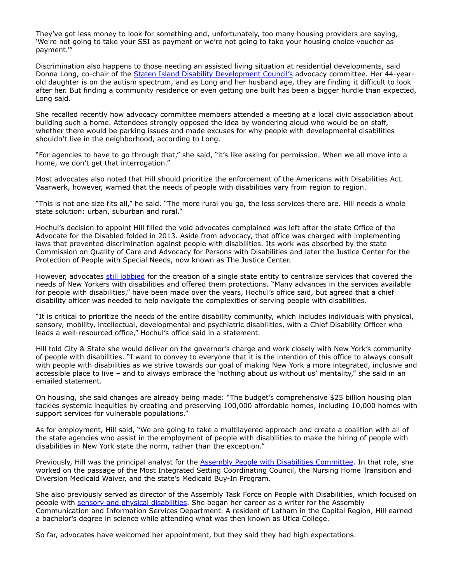They've got less money to look for something and, unfortunately, too many housing providers are saying, 'We're not going to take your SSI as payment or we're not going to take your housing choice voucher as payment.'"

Discrimination also happens to those needing an assisted living situation at residential developments, said Donna Long, co-chair of the **[Staten Island Disability Development Council's](https://nam02.safelinks.protection.outlook.com/?url=https%3A%2F%2Fsiddc.org%2F&data=05%7C01%7Crmc277%40shp.rutgers.edu%7C57fe08bb2d2d4ea29f2308da31e26abd%7Cb92d2b234d35447093ff69aca6632ffe%7C1%7C0%7C637877145776028615%7CUnknown%7CTWFpbGZsb3d8eyJWIjoiMC4wLjAwMDAiLCJQIjoiV2luMzIiLCJBTiI6Ik1haWwiLCJXVCI6Mn0%3D%7C1000%7C%7C%7C&sdata=D4SSpfwaHi%2Bz4c1hMAdOYh9EU1TV71gfeyIALwZbkgE%3D&reserved=0)** advocacy committee. Her 44-yearold daughter is on the autism spectrum, and as Long and her husband age, they are finding it difficult to look after her. But finding a community residence or even getting one built has been a bigger hurdle than expected, Long said.

She recalled recently how advocacy committee members attended a meeting at a local civic association about building such a home. Attendees strongly opposed the idea by wondering aloud who would be on staff, whether there would be parking issues and made excuses for why people with developmental disabilities shouldn't live in the neighborhood, according to Long.

"For agencies to have to go through that," she said, "it's like asking for permission. When we all move into a home, we don't get that interrogation."

Most advocates also noted that Hill should prioritize the enforcement of the Americans with Disabilities Act. Vaarwerk, however, warned that the needs of people with disabilities vary from region to region.

"This is not one size fits all," he said. "The more rural you go, the less services there are. Hill needs a whole state solution: urban, suburban and rural."

Hochul's decision to appoint Hill filled the void advocates complained was left after the state Office of the Advocate for the Disabled folded in 2013. Aside from advocacy, that office was charged with implementing laws that prevented discrimination against people with disabilities. Its work was absorbed by the state Commission on Quality of Care and Advocacy for Persons with Disabilities and later the Justice Center for the Protection of People with Special Needs, now known as The Justice Center.

However, advocates [still lobbied](https://nam02.safelinks.protection.outlook.com/?url=https%3A%2F%2Fwskg.org%2Fadvocates-call-on-new-york-lawmakers-to-reinstate-disability-advocacy-office%2F&data=05%7C01%7Crmc277%40shp.rutgers.edu%7C57fe08bb2d2d4ea29f2308da31e26abd%7Cb92d2b234d35447093ff69aca6632ffe%7C1%7C0%7C637877145776028615%7CUnknown%7CTWFpbGZsb3d8eyJWIjoiMC4wLjAwMDAiLCJQIjoiV2luMzIiLCJBTiI6Ik1haWwiLCJXVCI6Mn0%3D%7C1000%7C%7C%7C&sdata=SvB3eARlMX1RDf3lUe1vWj2Yn%2BFTMLkVxYnB2AIZQNU%3D&reserved=0) for the creation of a single state entity to centralize services that covered the needs of New Yorkers with disabilities and offered them protections. "Many advances in the services available for people with disabilities," have been made over the years, Hochul's office said, but agreed that a chief disability officer was needed to help navigate the complexities of serving people with disabilities.

"It is critical to prioritize the needs of the entire disability community, which includes individuals with physical, sensory, mobility, intellectual, developmental and psychiatric disabilities, with a Chief Disability Officer who leads a well-resourced office," Hochul's office said in a statement.

Hill told City & State she would deliver on the governor's charge and work closely with New York's community of people with disabilities. "I want to convey to everyone that it is the intention of this office to always consult with people with disabilities as we strive towards our goal of making New York a more integrated, inclusive and accessible place to live – and to always embrace the 'nothing about us without us' mentality," she said in an emailed statement.

On housing, she said changes are already being made: "The budget's comprehensive \$25 billion housing plan tackles systemic inequities by creating and preserving 100,000 affordable homes, including 10,000 homes with support services for vulnerable populations."

As for employment, Hill said, "We are going to take a multilayered approach and create a coalition with all of the state agencies who assist in the employment of people with disabilities to make the hiring of people with disabilities in New York state the norm, rather than the exception."

Previously, Hill was the principal analyst for the [Assembly People with Disabilities Committee](https://nam02.safelinks.protection.outlook.com/?url=https%3A%2F%2Fwww.urbancny.com%2Fgovernor-hochul-establishes-office-of-the-chief-disability-officer%2F&data=05%7C01%7Crmc277%40shp.rutgers.edu%7C57fe08bb2d2d4ea29f2308da31e26abd%7Cb92d2b234d35447093ff69aca6632ffe%7C1%7C0%7C637877145776028615%7CUnknown%7CTWFpbGZsb3d8eyJWIjoiMC4wLjAwMDAiLCJQIjoiV2luMzIiLCJBTiI6Ik1haWwiLCJXVCI6Mn0%3D%7C1000%7C%7C%7C&sdata=DekciNTtBhPdvJflcHHP%2BXjebU0ts0Lvpbe0TO3qpSw%3D&reserved=0). In that role, she worked on the passage of the Most Integrated Setting Coordinating Council, the Nursing Home Transition and Diversion Medicaid Waiver, and the state's Medicaid Buy-In Program.

She also previously served as director of the Assembly Task Force on People with Disabilities, which focused on people with [sensory and physical disabilities](https://nam02.safelinks.protection.outlook.com/?url=https%3A%2F%2Fpix11.com%2Fnews%2Flocal-news%2Fnys-creates-office-of-the-chief-disability-officer%2F&data=05%7C01%7Crmc277%40shp.rutgers.edu%7C57fe08bb2d2d4ea29f2308da31e26abd%7Cb92d2b234d35447093ff69aca6632ffe%7C1%7C0%7C637877145776028615%7CUnknown%7CTWFpbGZsb3d8eyJWIjoiMC4wLjAwMDAiLCJQIjoiV2luMzIiLCJBTiI6Ik1haWwiLCJXVCI6Mn0%3D%7C1000%7C%7C%7C&sdata=dBtXkOi9b7Rz%2F9G5qr1fsAv4cR9Y%2FsVI6TBvt4uDzpQ%3D&reserved=0). She began her career as a writer for the Assembly Communication and Information Services Department. A resident of Latham in the Capital Region, Hill earned a bachelor's degree in science while attending what was then known as Utica College.

So far, advocates have welcomed her appointment, but they said they had high expectations.